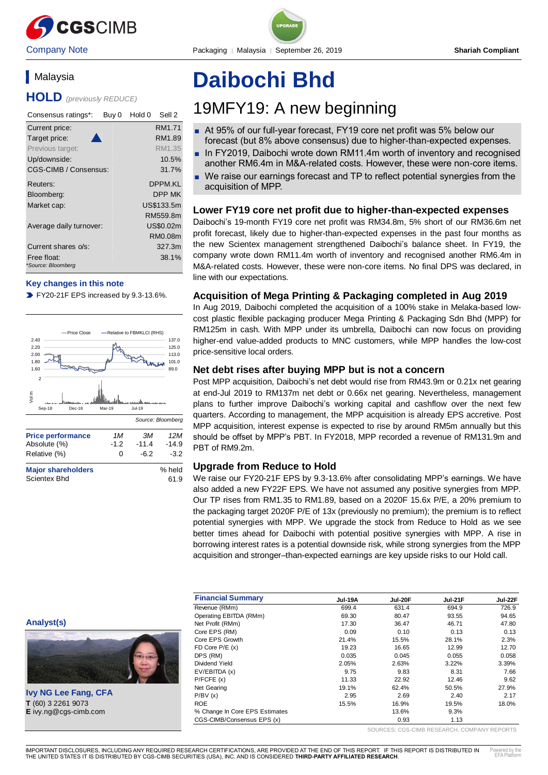

# **Malaysia**

**HOLD** *(previously REDUCE)*

| Consensus ratings*:               | Sell 2<br>Hold 0<br>Buy 0 |
|-----------------------------------|---------------------------|
| Current price:                    | RM1.71                    |
| Target price:                     | RM1.89                    |
| Previous target:                  | RM1.35                    |
| Up/downside:                      | 10.5%                     |
| CGS-CIMB / Consensus:             | 31.7%                     |
| Reuters:                          | DPPM.KI                   |
| Bloomberg:                        | DPP MK                    |
| Market cap:                       | US\$133.5m                |
|                                   | RM559.8m                  |
| Average daily turnover:           | US\$0.02m                 |
|                                   | RM0.08m                   |
| Current shares o/s:               | 327.3m                    |
| Free float:<br>*Source: Bloomberg | 38.1%                     |

## **Key changes in this note**

FY20-21F EPS increased by 9.3-13.6%.



Scientex Bhd 61.9

# **Daibochi Bhd**

# 19MFY19: A new beginning

- At 95% of our full-year forecast, FY19 core net profit was 5% below our forecast (but 8% above consensus) due to higher-than-expected expenses.
- In FY2019, Daibochi wrote down RM11.4m worth of inventory and recognised another RM6.4m in M&A-related costs. However, these were non-core items.
- We raise our earnings forecast and TP to reflect potential synergies from the acquisition of MPP.

# **Lower FY19 core net profit due to higher-than-expected expenses**

Daibochi's 19-month FY19 core net profit was RM34.8m, 5% short of our RM36.6m net profit forecast, likely due to higher-than-expected expenses in the past four months as the new Scientex management strengthened Daibochi's balance sheet. In FY19, the company wrote down RM11.4m worth of inventory and recognised another RM6.4m in M&A-related costs. However, these were non-core items. No final DPS was declared, in line with our expectations.

# **Acquisition of Mega Printing & Packaging completed in Aug 2019**

In Aug 2019, Daibochi completed the acquisition of a 100% stake in Melaka-based lowcost plastic flexible packaging producer Mega Printing & Packaging Sdn Bhd (MPP) for RM125m in cash. With MPP under its umbrella, Daibochi can now focus on providing higher-end value-added products to MNC customers, while MPP handles the low-cost price-sensitive local orders.

## **Net debt rises after buying MPP but is not a concern**

Post MPP acquisition, Daibochi's net debt would rise from RM43.9m or 0.21x net gearing at end-Jul 2019 to RM137m net debt or 0.66x net gearing. Nevertheless, management plans to further improve Daibochi's working capital and cashflow over the next few quarters. According to management, the MPP acquisition is already EPS accretive. Post MPP acquisition, interest expense is expected to rise by around RM5m annually but this should be offset by MPP's PBT. In FY2018, MPP recorded a revenue of RM131.9m and PBT of RM9.2m.

## **Upgrade from Reduce to Hold**

We raise our FY20-21F EPS by 9.3-13.6% after consolidating MPP's earnings. We have also added a new FY22F EPS. We have not assumed any positive synergies from MPP. Our TP rises from RM1.35 to RM1.89, based on a 2020F 15.6x P/E, a 20% premium to the packaging target 2020F P/E of 13x (previously no premium); the premium is to reflect potential synergies with MPP. We upgrade the stock from Reduce to Hold as we see better times ahead for Daibochi with potential positive synergies with MPP. A rise in borrowing interest rates is a potential downside risk, while strong synergies from the MPP acquisition and stronger–than-expected earnings are key upside risks to our Hold call.

|                             | <b>Financial Summary</b>       | <b>Jul-19A</b> | Jul-20F | <b>Jul-21F</b> | Jul-22F |
|-----------------------------|--------------------------------|----------------|---------|----------------|---------|
|                             | Revenue (RMm)                  | 699.4          | 631.4   | 694.9          | 726.9   |
|                             | Operating EBITDA (RMm)         | 69.30          | 80.47   | 93.55          | 94.65   |
| Analyst(s)                  | Net Profit (RMm)               | 17.30          | 36.47   | 46.71          | 47.80   |
|                             | Core EPS (RM)                  | 0.09           | 0.10    | 0.13           | 0.13    |
|                             | Core EPS Growth                | 21.4%          | 15.5%   | 28.1%          | 2.3%    |
|                             | $FD$ Core $P/E$ (x)            | 19.23          | 16.65   | 12.99          | 12.70   |
|                             | DPS (RM)                       | 0.035          | 0.045   | 0.055          | 0.058   |
|                             | Dividend Yield                 | 2.05%          | 2.63%   | 3.22%          | 3.39%   |
|                             | EV/EBITDA (x)                  | 9.75           | 9.83    | 8.31           | 7.66    |
|                             | P/FCFE(x)                      | 11.33          | 22.92   | 12.46          | 9.62    |
|                             | Net Gearing                    | 19.1%          | 62.4%   | 50.5%          | 27.9%   |
| <b>Ivy NG Lee Fang, CFA</b> | P/BV(x)                        | 2.95           | 2.69    | 2.40           | 2.17    |
| T (60) 3 2261 9073          | <b>ROE</b>                     | 15.5%          | 16.9%   | 19.5%          | 18.0%   |
| E ivy.ng@cgs-cimb.com       | % Change In Core EPS Estimates |                | 13.6%   | 9.3%           |         |
|                             | CGS-CIMB/Consensus EPS (x)     |                | 0.93    | 1.13           |         |

SOURCES: CGS-CIMB RESEARCH, COMPANY REPORTS

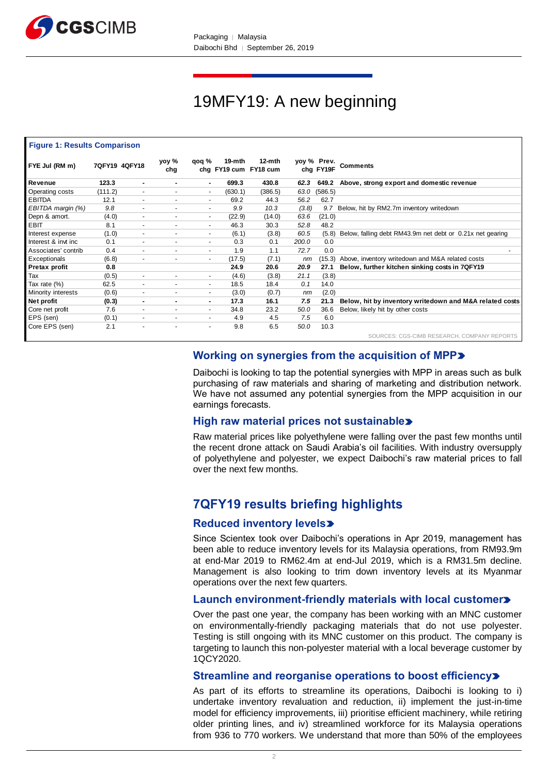

# 19MFY19: A new beginning

#### **Figure 1: Results Comparison**

| FYE Jul (RM m)      |         | 7QFY19 4QFY18            | yoy %<br>chg             | qoq %                    | 19-mth  | 12-mth<br>chg FY19 cum FY18 cum |       | yoy % Prev.<br>chg FY19F | <b>Comments</b>                                           |
|---------------------|---------|--------------------------|--------------------------|--------------------------|---------|---------------------------------|-------|--------------------------|-----------------------------------------------------------|
| Revenue             | 123.3   | ۰.                       | ۰                        | ۰.                       | 699.3   | 430.8                           | 62.3  | 649.2                    | Above, strong export and domestic revenue                 |
| Operating costs     | (111.2) | $\overline{\phantom{a}}$ | $\overline{\phantom{a}}$ | ٠                        | (630.1) | (386.5)                         | 63.0  | (586.5)                  |                                                           |
| <b>EBITDA</b>       | 12.1    | $\overline{\phantom{0}}$ | $\overline{\phantom{a}}$ | $\overline{a}$           | 69.2    | 44.3                            | 56.2  | 62.7                     |                                                           |
| EBITDA margin (%)   | 9.8     |                          | $\overline{\phantom{a}}$ |                          | 9.9     | 10.3                            | (3.8) | 9.7                      | Below, hit by RM2.7m inventory writedown                  |
| Depn & amort.       | (4.0)   | $\overline{a}$           | $\sim$                   | $\overline{\phantom{a}}$ | (22.9)  | (14.0)                          | 63.6  | (21.0)                   |                                                           |
| EBIT                | 8.1     |                          | $\blacksquare$           | $\overline{\phantom{0}}$ | 46.3    | 30.3                            | 52.8  | 48.2                     |                                                           |
| Interest expense    | (1.0)   | $\overline{\phantom{a}}$ | $\tilde{\phantom{a}}$    | $\sim$                   | (6.1)   | (3.8)                           | 60.5  | (5.8)                    | Below, falling debt RM43.9m net debt or 0.21x net gearing |
| Interest & invt inc | 0.1     | $\blacksquare$           | ٠                        | ٠.                       | 0.3     | 0.1                             | 200.0 | 0.0                      |                                                           |
| Associates' contrib | 0.4     |                          | $\sim$                   |                          | 1.9     | 1.1                             | 72.7  | 0.0                      |                                                           |
| Exceptionals        | (6.8)   | $\tilde{\phantom{a}}$    | $\tilde{\phantom{a}}$    | $\overline{\phantom{a}}$ | (17.5)  | (7.1)                           | nm    | (15.3)                   | Above, inventory writedown and M&A related costs          |
| Pretax profit       | 0.8     |                          |                          |                          | 24.9    | 20.6                            | 20.9  | 27.1                     | Below, further kitchen sinking costs in 7QFY19            |
| Tax                 | (0.5)   | $\overline{\phantom{a}}$ | $\blacksquare$           | $\overline{\phantom{a}}$ | (4.6)   | (3.8)                           | 21.1  | (3.8)                    |                                                           |
| Tax rate (%)        | 62.5    | $\overline{\phantom{0}}$ | $\overline{\phantom{a}}$ | $\overline{\phantom{0}}$ | 18.5    | 18.4                            | 0.1   | 14.0                     |                                                           |
| Minority interests  | (0.6)   | $\overline{\phantom{a}}$ | $\sim$                   | ٠                        | (3.0)   | (0.7)                           | nm    | (2.0)                    |                                                           |
| Net profit          | (0.3)   | ۰.                       | ۰.                       | ۰.                       | 17.3    | 16.1                            | 7.5   | 21.3                     | Below, hit by inventory writedown and M&A related costs   |
| Core net profit     | 7.6     |                          | ٠                        | ٠                        | 34.8    | 23.2                            | 50.0  | 36.6                     | Below, likely hit by other costs                          |
| EPS (sen)           | (0.1)   | $\sim$                   | $\sim$                   | $\sim$                   | 4.9     | 4.5                             | 7.5   | 6.0                      |                                                           |
| Core EPS (sen)      | 2.1     |                          | $\overline{a}$           |                          | 9.8     | 6.5                             | 50.0  | 10.3                     |                                                           |
|                     |         |                          |                          |                          |         |                                 |       |                          | SOURCES: CGS-CIMB RESEARCH, COMPANY REPORTS               |

# **Working on synergies from the acquisition of MPP**

Daibochi is looking to tap the potential synergies with MPP in areas such as bulk purchasing of raw materials and sharing of marketing and distribution network. We have not assumed any potential synergies from the MPP acquisition in our earnings forecasts.

## **High raw material prices not sustainable**

Raw material prices like polyethylene were falling over the past few months until the recent drone attack on Saudi Arabia's oil facilities. With industry oversupply of polyethylene and polyester, we expect Daibochi's raw material prices to fall over the next few months.

# **7QFY19 results briefing highlights**

# **Reduced inventory levels**

Since Scientex took over Daibochi's operations in Apr 2019, management has been able to reduce inventory levels for its Malaysia operations, from RM93.9m at end-Mar 2019 to RM62.4m at end-Jul 2019, which is a RM31.5m decline. Management is also looking to trim down inventory levels at its Myanmar operations over the next few quarters.

# **Launch environment-friendly materials with local customer**

Over the past one year, the company has been working with an MNC customer on environmentally-friendly packaging materials that do not use polyester. Testing is still ongoing with its MNC customer on this product. The company is targeting to launch this non-polyester material with a local beverage customer by 1QCY2020.

## **Streamline and reorganise operations to boost efficiency**

As part of its efforts to streamline its operations, Daibochi is looking to i) undertake inventory revaluation and reduction, ii) implement the just-in-time model for efficiency improvements, iii) prioritise efficient machinery, while retiring older printing lines, and iv) streamlined workforce for its Malaysia operations from 936 to 770 workers. We understand that more than 50% of the employees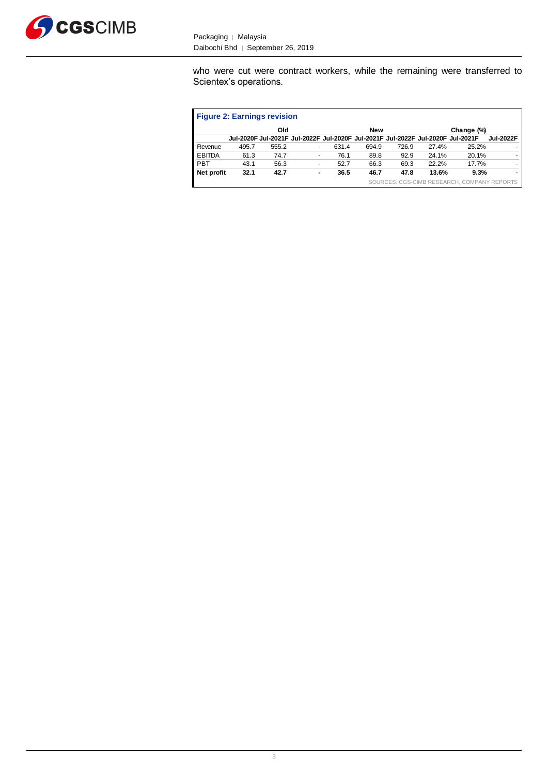

who were cut were contract workers, while the remaining were transferred to Scientex's operations.

| <b>Figure 2: Earnings revision</b> |       |       |   |       |                                                                                 |       |                                |            |                  |
|------------------------------------|-------|-------|---|-------|---------------------------------------------------------------------------------|-------|--------------------------------|------------|------------------|
|                                    |       | Old   |   |       | <b>New</b>                                                                      |       |                                | Change (%) |                  |
|                                    |       |       |   |       | Jul-2020F Jul-2021F Jul-2022F Jul-2020F Jul-2021F Jul-2022F Jul-2020F Jul-2021F |       |                                |            | <b>Jul-2022F</b> |
| Revenue                            | 495.7 | 555.2 |   | 631.4 | 694.9                                                                           | 726.9 | 27.4%                          | 25.2%      |                  |
| <b>EBITDA</b>                      | 61.3  | 74.7  | - | 76.1  | 89.8                                                                            | 92.9  | 24.1%                          | 20.1%      |                  |
| PBT                                | 43.1  | 56.3  |   | 52.7  | 66.3                                                                            | 69.3  | 22.2%                          | 17.7%      |                  |
| Net profit                         | 32.1  | 42.7  | ۰ | 36.5  | 46.7                                                                            | 47.8  | 13.6%                          | 9.3%       |                  |
|                                    |       |       |   |       |                                                                                 |       | SOURCES: CGS-CIMB RESEARCH, CO |            |                  |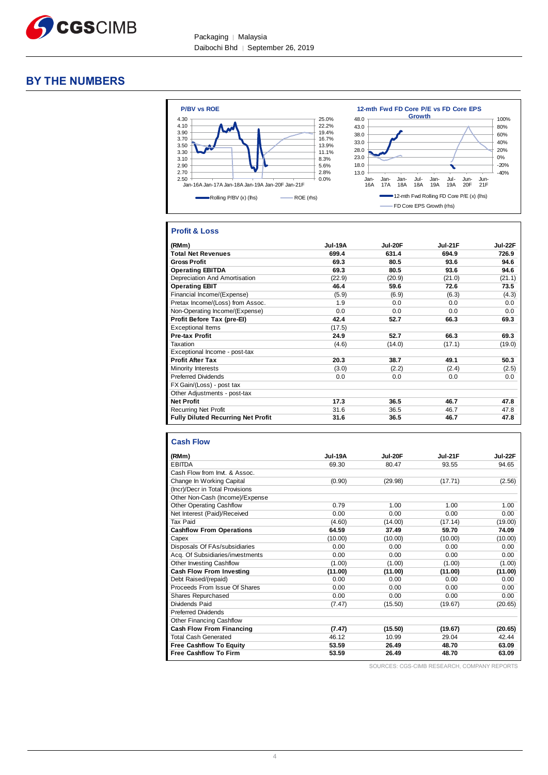

# **BY THE NUMBERS**



# **Profit & Loss**

| (RMm)                                     | Jul-19A | Jul-20F | <b>Jul-21F</b> | Jul-22F |
|-------------------------------------------|---------|---------|----------------|---------|
| <b>Total Net Revenues</b>                 | 699.4   | 631.4   | 694.9          | 726.9   |
| <b>Gross Profit</b>                       | 69.3    | 80.5    | 93.6           | 94.6    |
| <b>Operating EBITDA</b>                   | 69.3    | 80.5    | 93.6           | 94.6    |
| Depreciation And Amortisation             | (22.9)  | (20.9)  | (21.0)         | (21.1)  |
| <b>Operating EBIT</b>                     | 46.4    | 59.6    | 72.6           | 73.5    |
| Financial Income/(Expense)                | (5.9)   | (6.9)   | (6.3)          | (4.3)   |
| Pretax Income/(Loss) from Assoc.          | 1.9     | 0.0     | 0.0            | 0.0     |
| Non-Operating Income/(Expense)            | 0.0     | 0.0     | 0.0            | 0.0     |
| Profit Before Tax (pre-El)                | 42.4    | 52.7    | 66.3           | 69.3    |
| <b>Exceptional Items</b>                  | (17.5)  |         |                |         |
| <b>Pre-tax Profit</b>                     | 24.9    | 52.7    | 66.3           | 69.3    |
| Taxation                                  | (4.6)   | (14.0)  | (17.1)         | (19.0)  |
| Exceptional Income - post-tax             |         |         |                |         |
| <b>Profit After Tax</b>                   | 20.3    | 38.7    | 49.1           | 50.3    |
| Minority Interests                        | (3.0)   | (2.2)   | (2.4)          | (2.5)   |
| <b>Preferred Dividends</b>                | 0.0     | 0.0     | 0.0            | 0.0     |
| FX Gain/(Loss) - post tax                 |         |         |                |         |
| Other Adjustments - post-tax              |         |         |                |         |
| <b>Net Profit</b>                         | 17.3    | 36.5    | 46.7           | 47.8    |
| <b>Recurring Net Profit</b>               | 31.6    | 36.5    | 46.7           | 47.8    |
| <b>Fully Diluted Recurring Net Profit</b> | 31.6    | 36.5    | 46.7           | 47.8    |

| <b>Cash Flow</b> |  |  |
|------------------|--|--|
|                  |  |  |

| (RMm)                            | <b>Jul-19A</b> | <b>Jul-20F</b> | Jul-21F | Jul-22F |
|----------------------------------|----------------|----------------|---------|---------|
| <b>EBITDA</b>                    | 69.30          | 80.47          | 93.55   | 94.65   |
| Cash Flow from Invt. & Assoc.    |                |                |         |         |
| Change In Working Capital        | (0.90)         | (29.98)        | (17.71) | (2.56)  |
| (Incr)/Decr in Total Provisions  |                |                |         |         |
| Other Non-Cash (Income)/Expense  |                |                |         |         |
| <b>Other Operating Cashflow</b>  | 0.79           | 1.00           | 1.00    | 1.00    |
| Net Interest (Paid)/Received     | 0.00           | 0.00           | 0.00    | 0.00    |
| Tax Paid                         | (4.60)         | (14.00)        | (17.14) | (19.00) |
| <b>Cashflow From Operations</b>  | 64.59          | 37.49          | 59.70   | 74.09   |
| Capex                            | (10.00)        | (10.00)        | (10.00) | (10.00) |
| Disposals Of FAs/subsidiaries    | 0.00           | 0.00           | 0.00    | 0.00    |
| Acq. Of Subsidiaries/investments | 0.00           | 0.00           | 0.00    | 0.00    |
| <b>Other Investing Cashflow</b>  | (1.00)         | (1.00)         | (1.00)  | (1.00)  |
| Cash Flow From Investing         | (11.00)        | (11.00)        | (11.00) | (11.00) |
| Debt Raised/(repaid)             | 0.00           | 0.00           | 0.00    | 0.00    |
| Proceeds From Issue Of Shares    | 0.00           | 0.00           | 0.00    | 0.00    |
| <b>Shares Repurchased</b>        | 0.00           | 0.00           | 0.00    | 0.00    |
| Dividends Paid                   | (7.47)         | (15.50)        | (19.67) | (20.65) |
| <b>Preferred Dividends</b>       |                |                |         |         |
| <b>Other Financing Cashflow</b>  |                |                |         |         |
| Cash Flow From Financing         | (7.47)         | (15.50)        | (19.67) | (20.65) |
| <b>Total Cash Generated</b>      | 46.12          | 10.99          | 29.04   | 42.44   |
| <b>Free Cashflow To Equity</b>   | 53.59          | 26.49          | 48.70   | 63.09   |
| <b>Free Cashflow To Firm</b>     | 53.59          | 26.49          | 48.70   | 63.09   |

SOURCES: CGS-CIMB RESEARCH, COMPANY REPORTS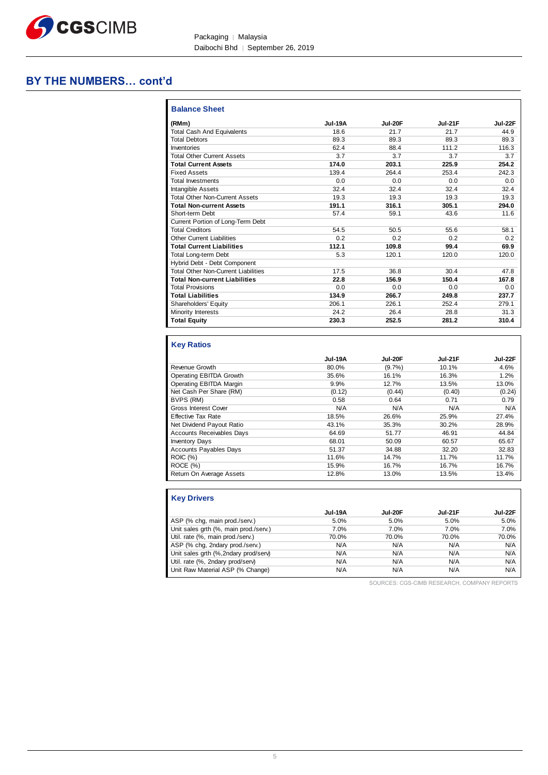

Packaging | Malaysia Daibochi Bhd │ September 26, 2019

# **BY THE NUMBERS… cont'd**

| (RMm)                                      | Jul-19A | <b>Jul-20F</b> | <b>Jul-21F</b> | <b>Jul-22F</b> |
|--------------------------------------------|---------|----------------|----------------|----------------|
| <b>Total Cash And Equivalents</b>          | 18.6    | 21.7           | 21.7           | 44.9           |
| <b>Total Debtors</b>                       | 89.3    | 89.3           | 89.3           | 89.3           |
| Inventories                                | 62.4    | 88.4           | 111.2          | 116.3          |
| <b>Total Other Current Assets</b>          | 3.7     | 3.7            | 3.7            | 3.7            |
| <b>Total Current Assets</b>                | 174.0   | 203.1          | 225.9          | 254.2          |
| <b>Fixed Assets</b>                        | 139.4   | 264.4          | 253.4          | 242.3          |
| <b>Total Investments</b>                   | 0.0     | 0.0            | 0.0            | 0.0            |
| Intangible Assets                          | 32.4    | 32.4           | 32.4           | 32.4           |
| <b>Total Other Non-Current Assets</b>      | 19.3    | 19.3           | 19.3           | 19.3           |
| <b>Total Non-current Assets</b>            | 191.1   | 316.1          | 305.1          | 294.0          |
| Short-term Debt                            | 57.4    | 59.1           | 43.6           | 11.6           |
| Current Portion of Long-Term Debt          |         |                |                |                |
| <b>Total Creditors</b>                     | 54.5    | 50.5           | 55.6           | 58.1           |
| <b>Other Current Liabilities</b>           | 0.2     | 0.2            | 0.2            | 0.2            |
| <b>Total Current Liabilities</b>           | 112.1   | 109.8          | 99.4           | 69.9           |
| <b>Total Long-term Debt</b>                | 5.3     | 120.1          | 120.0          | 120.0          |
| Hybrid Debt - Debt Component               |         |                |                |                |
| <b>Total Other Non-Current Liabilities</b> | 17.5    | 36.8           | 30.4           | 47.8           |
| <b>Total Non-current Liabilities</b>       | 22.8    | 156.9          | 150.4          | 167.8          |
| <b>Total Provisions</b>                    | 0.0     | 0.0            | 0.0            | 0.0            |
| <b>Total Liabilities</b>                   | 134.9   | 266.7          | 249.8          | 237.7          |
| Shareholders' Equity                       | 206.1   | 226.1          | 252.4          | 279.1          |
| Minority Interests                         | 24.2    | 26.4           | 28.8           | 31.3           |
| <b>Total Equity</b>                        | 230.3   | 252.5          | 281.2          | 310.4          |
| <b>Key Ratios</b>                          |         |                |                |                |
|                                            | Jul-19A | Jul-20F        | <b>Jul-21F</b> | Jul-22F        |
| <b>Revenue Growth</b>                      | 80.0%   | (9.7%          | 10.1%          | 4.6%           |
| <b>Operating EBITDA Growth</b>             | 35.6%   | 16.1%          | 16.3%          | 1.2%           |
| Operating EBITDA Margin                    | 9.9%    | 12.7%          | 13.5%          | 13.0%          |
| Net Cash Per Share (RM)                    | (0.12)  | (0.44)         | (0.40)         | (0.24)         |
| BVPS (RM)                                  | 0.58    | 0.64           | 0.71           | 0.79           |
| <b>Gross Interest Cover</b>                | N/A     | N/A            | N/A            | N/A            |
| <b>Effective Tax Rate</b>                  | 18.5%   | 26.6%          | 25.9%          | 27.4%          |
| Net Dividend Payout Ratio                  | 43.1%   | 35.3%          | 30.2%          | 28.9%          |
| <b>Accounts Receivables Days</b>           | 64.69   | 51.77          | 46.91          | 44.84          |
| <b>Inventory Days</b>                      | 68.01   | 50.09          | 60.57          | 65.67          |
| <b>Accounts Payables Days</b>              | 51.37   | 34.88          | 32.20          | 32.83          |
| ROIC (%)                                   | 11.6%   | 14.7%          | 11.7%          | 11.7%          |

| <b>Key Drivers</b>                    |         |         |         |         |
|---------------------------------------|---------|---------|---------|---------|
|                                       | Jul-19A | Jul-20F | Jul-21F | Jul-22F |
| ASP (% chg, main prod./serv.)         | 5.0%    | 5.0%    | 5.0%    | 5.0%    |
| Unit sales grth (%, main prod./serv.) | 7.0%    | 7.0%    | 7.0%    | 7.0%    |
| Util. rate (%, main prod./serv.)      | 70.0%   | 70.0%   | 70.0%   | 70.0%   |
| ASP (% chg, 2ndary prod./serv.)       | N/A     | N/A     | N/A     | N/A     |
| Unit sales grth (%, 2ndary prod/serv) | N/A     | N/A     | N/A     | N/A     |
| Util. rate (%, 2ndary prod/serv)      | N/A     | N/A     | N/A     | N/A     |
| Unit Raw Material ASP (% Change)      | N/A     | N/A     | N/A     | N/A     |

ROCE (%) 15.9% 16.7% 16.7% 16.7% Return On Average Assets 12.8% 13.0% 13.5% 13.4%

SOURCES: CGS-CIMB RESEARCH, COMPANY REPORTS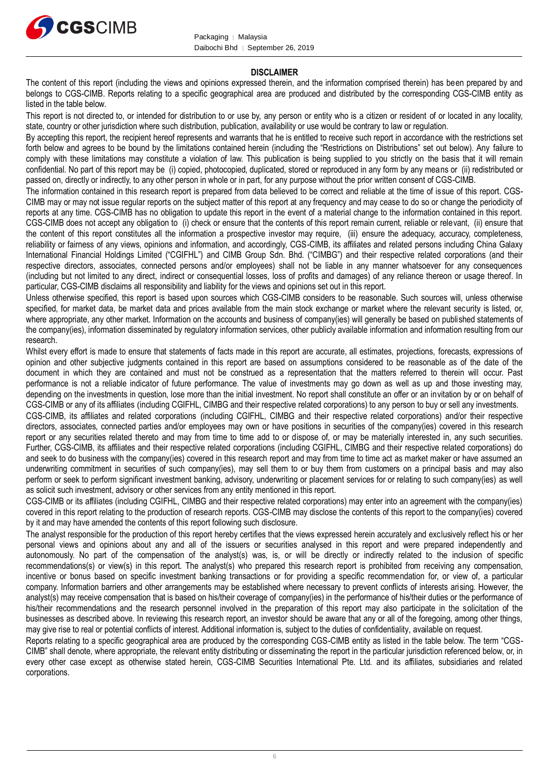

#### **DISCLAIMER**

The content of this report (including the views and opinions expressed therein, and the information comprised therein) has been prepared by and belongs to CGS-CIMB. Reports relating to a specific geographical area are produced and distributed by the corresponding CGS-CIMB entity as listed in the table below.

This report is not directed to, or intended for distribution to or use by, any person or entity who is a citizen or resident of or located in any locality, state, country or other jurisdiction where such distribution, publication, availability or use would be contrary to law or regulation.

By accepting this report, the recipient hereof represents and warrants that he is entitled to receive such report in accordance with the restrictions set forth below and agrees to be bound by the limitations contained herein (including the "Restrictions on Distributions" set out below). Any failure to comply with these limitations may constitute a violation of law. This publication is being supplied to you strictly on the basis that it will remain confidential. No part of this report may be (i) copied, photocopied, duplicated, stored or reproduced in any form by any means or (ii) redistributed or passed on, directly or indirectly, to any other person in whole or in part, for any purpose without the prior written consent of CGS-CIMB.

The information contained in this research report is prepared from data believed to be correct and reliable at the time of issue of this report. CGS-CIMB may or may not issue regular reports on the subject matter of this report at any frequency and may cease to do so or change the periodicity of reports at any time. CGS-CIMB has no obligation to update this report in the event of a material change to the information contained in this report. CGS-CIMB does not accept any obligation to (i) check or ensure that the contents of this report remain current, reliable or relevant, (ii) ensure that the content of this report constitutes all the information a prospective investor may require, (iii) ensure the adequacy, accuracy, completeness, reliability or fairness of any views, opinions and information, and accordingly, CGS-CIMB, its affiliates and related persons including China Galaxy International Financial Holdings Limited ("CGIFHL") and CIMB Group Sdn. Bhd. ("CIMBG") and their respective related corporations (and their respective directors, associates, connected persons and/or employees) shall not be liable in any manner whatsoever for any consequences (including but not limited to any direct, indirect or consequential losses, loss of profits and damages) of any reliance thereon or usage thereof. In particular, CGS-CIMB disclaims all responsibility and liability for the views and opinions set out in this report.

Unless otherwise specified, this report is based upon sources which CGS-CIMB considers to be reasonable. Such sources will, unless otherwise specified, for market data, be market data and prices available from the main stock exchange or market where the relevant security is listed, or, where appropriate, any other market. Information on the accounts and business of company(ies) will generally be based on published statements of the company(ies), information disseminated by regulatory information services, other publicly available information and information resulting from our research.

Whilst every effort is made to ensure that statements of facts made in this report are accurate, all estimates, projections, forecasts, expressions of opinion and other subjective judgments contained in this report are based on assumptions considered to be reasonable as of the date of the document in which they are contained and must not be construed as a representation that the matters referred to therein will occur. Past performance is not a reliable indicator of future performance. The value of investments may go down as well as up and those investing may, depending on the investments in question, lose more than the initial investment. No report shall constitute an offer or an invitation by or on behalf of CGS-CIMB or any of its affiliates (including CGIFHL, CIMBG and their respective related corporations) to any person to buy or sell any investments.

CGS-CIMB, its affiliates and related corporations (including CGIFHL, CIMBG and their respective related corporations) and/or their respective directors, associates, connected parties and/or employees may own or have positions in securities of the company(ies) covered in this research report or any securities related thereto and may from time to time add to or dispose of, or may be materially interested in, any such securities. Further, CGS-CIMB, its affiliates and their respective related corporations (including CGIFHL, CIMBG and their respective related corporations) do and seek to do business with the company(ies) covered in this research report and may from time to time act as market maker or have assumed an underwriting commitment in securities of such company(ies), may sell them to or buy them from customers on a principal basis and may also perform or seek to perform significant investment banking, advisory, underwriting or placement services for or relating to such company(ies) as well as solicit such investment, advisory or other services from any entity mentioned in this report.

CGS-CIMB or its affiliates (including CGIFHL, CIMBG and their respective related corporations) may enter into an agreement with the company(ies) covered in this report relating to the production of research reports. CGS-CIMB may disclose the contents of this report to the company(ies) covered by it and may have amended the contents of this report following such disclosure.

The analyst responsible for the production of this report hereby certifies that the views expressed herein accurately and exclusively reflect his or her personal views and opinions about any and all of the issuers or securities analysed in this report and were prepared independently and autonomously. No part of the compensation of the analyst(s) was, is, or will be directly or indirectly related to the inclusion of specific recommendations(s) or view(s) in this report. The analyst(s) who prepared this research report is prohibited from receiving any compensation, incentive or bonus based on specific investment banking transactions or for providing a specific recommendation for, or view of, a particular company. Information barriers and other arrangements may be established where necessary to prevent conflicts of interests arising. However, the analyst(s) may receive compensation that is based on his/their coverage of company(ies) in the performance of his/their duties or the performance of his/their recommendations and the research personnel involved in the preparation of this report may also participate in the solicitation of the businesses as described above. In reviewing this research report, an investor should be aware that any or all of the foregoing, among other things, may give rise to real or potential conflicts of interest. Additional information is, subject to the duties of confidentiality, available on request.

Reports relating to a specific geographical area are produced by the corresponding CGS-CIMB entity as listed in the table below. The term "CGS-CIMB" shall denote, where appropriate, the relevant entity distributing or disseminating the report in the particular jurisdiction referenced below, or, in every other case except as otherwise stated herein, CGS-CIMB Securities International Pte. Ltd. and its affiliates, subsidiaries and related corporations.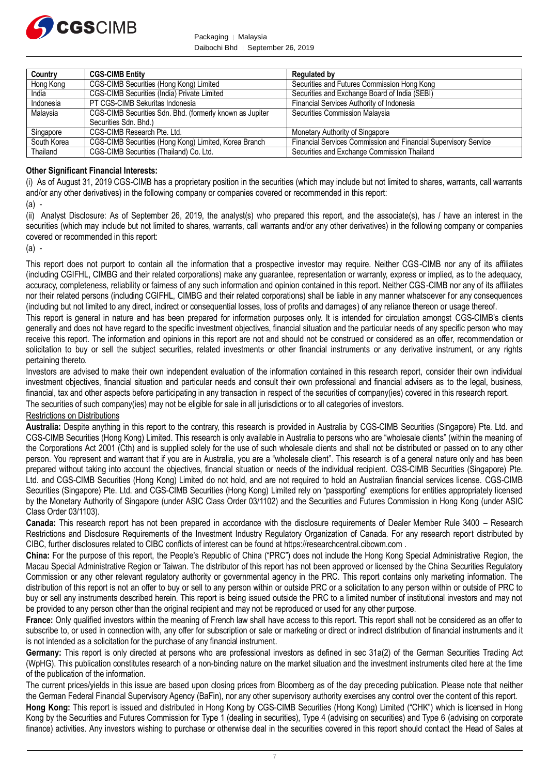

Packaging | Malaysia Daibochi Bhd │ September 26, 2019

| Country     | <b>CGS-CIMB Entity</b>                                   | <b>Regulated by</b>                                             |
|-------------|----------------------------------------------------------|-----------------------------------------------------------------|
| Hong Kong   | CGS-CIMB Securities (Hong Kong) Limited                  | Securities and Futures Commission Hong Kong                     |
| India       | CGS-CIMB Securities (India) Private Limited              | Securities and Exchange Board of India (SEBI)                   |
| Indonesia   | PT CGS-CIMB Sekuritas Indonesia                          | Financial Services Authority of Indonesia                       |
| Malaysia    | CGS-CIMB Securities Sdn. Bhd. (formerly known as Jupiter | Securities Commission Malaysia                                  |
|             | Securities Sdn. Bhd.)                                    |                                                                 |
| Singapore   | CGS-CIMB Research Pte. Ltd.                              | Monetary Authority of Singapore                                 |
| South Korea | CGS-CIMB Securities (Hong Kong) Limited, Korea Branch    | Financial Services Commission and Financial Supervisory Service |
| Thailand    | CGS-CIMB Securities (Thailand) Co. Ltd.                  | Securities and Exchange Commission Thailand                     |

#### **Other Significant Financial Interests:**

(i) As of August 31, 2019 CGS-CIMB has a proprietary position in the securities (which may include but not limited to shares, warrants, call warrants and/or any other derivatives) in the following company or companies covered or recommended in this report:

 $(a)$ .

(ii) Analyst Disclosure: As of September 26, 2019, the analyst(s) who prepared this report, and the associate(s), has / have an interest in the securities (which may include but not limited to shares, warrants, call warrants and/or any other derivatives) in the following company or companies covered or recommended in this report:

 $(a)$  -

This report does not purport to contain all the information that a prospective investor may require. Neither CGS-CIMB nor any of its affiliates (including CGIFHL, CIMBG and their related corporations) make any guarantee, representation or warranty, express or implied, as to the adequacy, accuracy, completeness, reliability or fairness of any such information and opinion contained in this report. Neither CGS-CIMB nor any of its affiliates nor their related persons (including CGIFHL, CIMBG and their related corporations) shall be liable in any manner whatsoever for any consequences (including but not limited to any direct, indirect or consequential losses, loss of profits and damages) of any reliance thereon or usage thereof.

This report is general in nature and has been prepared for information purposes only. It is intended for circulation amongst CGS-CIMB's clients generally and does not have regard to the specific investment objectives, financial situation and the particular needs of any specific person who may receive this report. The information and opinions in this report are not and should not be construed or considered as an offer, recommendation or solicitation to buy or sell the subject securities, related investments or other financial instruments or any derivative instrument, or any rights pertaining thereto.

Investors are advised to make their own independent evaluation of the information contained in this research report, consider their own individual investment objectives, financial situation and particular needs and consult their own professional and financial advisers as to the legal, business, financial, tax and other aspects before participating in any transaction in respect of the securities of company(ies) covered in this research report. The securities of such company(ies) may not be eligible for sale in all jurisdictions or to all categories of investors.

#### Restrictions on Distributions

**Australia:** Despite anything in this report to the contrary, this research is provided in Australia by CGS-CIMB Securities (Singapore) Pte. Ltd. and CGS-CIMB Securities (Hong Kong) Limited. This research is only available in Australia to persons who are "wholesale clients" (within the meaning of the Corporations Act 2001 (Cth) and is supplied solely for the use of such wholesale clients and shall not be distributed or passed on to any other person. You represent and warrant that if you are in Australia, you are a "wholesale client". This research is of a general nature only and has been prepared without taking into account the objectives, financial situation or needs of the individual recipient. CGS-CIMB Securities (Singapore) Pte. Ltd. and CGS-CIMB Securities (Hong Kong) Limited do not hold, and are not required to hold an Australian financial services license. CGS-CIMB Securities (Singapore) Pte. Ltd. and CGS-CIMB Securities (Hong Kong) Limited rely on "passporting" exemptions for entities appropriately licensed by the Monetary Authority of Singapore (under ASIC Class Order 03/1102) and the Securities and Futures Commission in Hong Kong (under ASIC Class Order 03/1103).

**Canada:** This research report has not been prepared in accordance with the disclosure requirements of Dealer Member Rule 3400 – Research Restrictions and Disclosure Requirements of the Investment Industry Regulatory Organization of Canada. For any research report distributed by CIBC, further disclosures related to CIBC conflicts of interest can be found at https://researchcentral.cibcwm.com .

**China:** For the purpose of this report, the People's Republic of China ("PRC") does not include the Hong Kong Special Administrative Region, the Macau Special Administrative Region or Taiwan. The distributor of this report has not been approved or licensed by the China Securities Regulatory Commission or any other relevant regulatory authority or governmental agency in the PRC. This report contains only marketing information. The distribution of this report is not an offer to buy or sell to any person within or outside PRC or a solicitation to any person within or outside of PRC to buy or sell any instruments described herein. This report is being issued outside the PRC to a limited number of institutional investors and may not be provided to any person other than the original recipient and may not be reproduced or used for any other purpose.

**France:** Only qualified investors within the meaning of French law shall have access to this report. This report shall not be considered as an offer to subscribe to, or used in connection with, any offer for subscription or sale or marketing or direct or indirect distribution of financial instruments and it is not intended as a solicitation for the purchase of any financial instrument.

**Germany:** This report is only directed at persons who are professional investors as defined in sec 31a(2) of the German Securities Trading Act (WpHG). This publication constitutes research of a non-binding nature on the market situation and the investment instruments cited here at the time of the publication of the information.

The current prices/yields in this issue are based upon closing prices from Bloomberg as of the day preceding publication. Please note that neither the German Federal Financial Supervisory Agency (BaFin), nor any other supervisory authority exercises any control over the content of this report.

**Hong Kong:** This report is issued and distributed in Hong Kong by CGS-CIMB Securities (Hong Kong) Limited ("CHK") which is licensed in Hong Kong by the Securities and Futures Commission for Type 1 (dealing in securities), Type 4 (advising on securities) and Type 6 (advising on corporate finance) activities. Any investors wishing to purchase or otherwise deal in the securities covered in this report should contact the Head of Sales at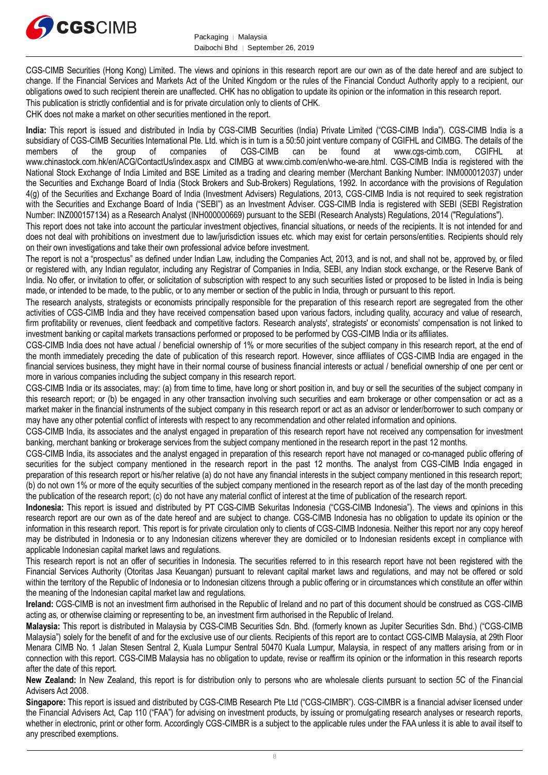

CGS-CIMB Securities (Hong Kong) Limited. The views and opinions in this research report are our own as of the date hereof and are subject to change. If the Financial Services and Markets Act of the United Kingdom or the rules of the Financial Conduct Authority apply to a recipient, our obligations owed to such recipient therein are unaffected. CHK has no obligation to update its opinion or the information in this research report.

This publication is strictly confidential and is for private circulation only to clients of CHK.

CHK does not make a market on other securities mentioned in the report.

**India:** This report is issued and distributed in India by CGS-CIMB Securities (India) Private Limited ("CGS-CIMB India"). CGS-CIMB India is a subsidiary of CGS-CIMB Securities International Pte. Ltd. which is in turn is a 50:50 joint venture company of CGIFHL and CIMBG. The details of the members of the group of companies of CGS-CIMB can be found at www.cgs-cimb members of the group of companies of CGS-CIMB can be found at www.cgs-cimb.com, CGIFHL at www.chinastock.com.hk/en/ACG/ContactUs/index.aspx and CIMBG at www.cimb.com/en/who-we-are.html. CGS-CIMB India is registered with the National Stock Exchange of India Limited and BSE Limited as a trading and clearing member (Merchant Banking Number: INM000012037) under the Securities and Exchange Board of India (Stock Brokers and Sub-Brokers) Regulations, 1992. In accordance with the provisions of Regulation 4(g) of the Securities and Exchange Board of India (Investment Advisers) Regulations, 2013, CGS-CIMB India is not required to seek registration with the Securities and Exchange Board of India ("SEBI") as an Investment Adviser. CGS-CIMB India is registered with SEBI (SEBI Registration Number: INZ000157134) as a Research Analyst (INH000000669) pursuant to the SEBI (Research Analysts) Regulations, 2014 ("Regulations").

This report does not take into account the particular investment objectives, financial situations, or needs of the recipients. It is not intended for and does not deal with prohibitions on investment due to law/jurisdiction issues etc. which may exist for certain persons/entities. Recipients should rely on their own investigations and take their own professional advice before investment.

The report is not a "prospectus" as defined under Indian Law, including the Companies Act, 2013, and is not, and shall not be, approved by, or filed or registered with, any Indian regulator, including any Registrar of Companies in India, SEBI, any Indian stock exchange, or the Reserve Bank of India. No offer, or invitation to offer, or solicitation of subscription with respect to any such securities listed or proposed to be listed in India is being made, or intended to be made, to the public, or to any member or section of the public in India, through or pursuant to this report.

The research analysts, strategists or economists principally responsible for the preparation of this research report are segregated from the other activities of CGS-CIMB India and they have received compensation based upon various factors, including quality, accuracy and value of research, firm profitability or revenues, client feedback and competitive factors. Research analysts', strategists' or economists' compensation is not linked to investment banking or capital markets transactions performed or proposed to be performed by CGS-CIMB India or its affiliates.

CGS-CIMB India does not have actual / beneficial ownership of 1% or more securities of the subject company in this research report, at the end of the month immediately preceding the date of publication of this research report. However, since affiliates of CGS-CIMB India are engaged in the financial services business, they might have in their normal course of business financial interests or actual / beneficial ownership of one per cent or more in various companies including the subject company in this research report.

CGS-CIMB India or its associates, may: (a) from time to time, have long or short position in, and buy or sell the securities of the subject company in this research report; or (b) be engaged in any other transaction involving such securities and earn brokerage or other compensation or act as a market maker in the financial instruments of the subject company in this research report or act as an advisor or lender/borrower to such company or may have any other potential conflict of interests with respect to any recommendation and other related information and opinions.

CGS-CIMB India, its associates and the analyst engaged in preparation of this research report have not received any compensation for investment banking, merchant banking or brokerage services from the subject company mentioned in the research report in the past 12 months.

CGS-CIMB India, its associates and the analyst engaged in preparation of this research report have not managed or co-managed public offering of securities for the subject company mentioned in the research report in the past 12 months. The analyst from CGS-CIMB India engaged in preparation of this research report or his/her relative (a) do not have any financial interests in the subject company mentioned in this research report; (b) do not own 1% or more of the equity securities of the subject company mentioned in the research report as of the last day of the month preceding the publication of the research report; (c) do not have any material conflict of interest at the time of publication of the research report.

**Indonesia:** This report is issued and distributed by PT CGS-CIMB Sekuritas Indonesia ("CGS-CIMB Indonesia"). The views and opinions in this research report are our own as of the date hereof and are subject to change. CGS-CIMB Indonesia has no obligation to update its opinion or the information in this research report. This report is for private circulation only to clients of CGS-CIMB Indonesia. Neither this report nor any copy hereof may be distributed in Indonesia or to any Indonesian citizens wherever they are domiciled or to Indonesian residents except in compliance with applicable Indonesian capital market laws and regulations.

This research report is not an offer of securities in Indonesia. The securities referred to in this research report have not been registered with the Financial Services Authority (Otoritas Jasa Keuangan) pursuant to relevant capital market laws and regulations, and may not be offered or sold within the territory of the Republic of Indonesia or to Indonesian citizens through a public offering or in circumstances which constitute an offer within the meaning of the Indonesian capital market law and regulations.

**Ireland:** CGS-CIMB is not an investment firm authorised in the Republic of Ireland and no part of this document should be construed as CGS-CIMB acting as, or otherwise claiming or representing to be, an investment firm authorised in the Republic of Ireland.

**Malaysia:** This report is distributed in Malaysia by CGS-CIMB Securities Sdn. Bhd. (formerly known as Jupiter Securities Sdn. Bhd.) ("CGS-CIMB Malaysia") solely for the benefit of and for the exclusive use of our clients. Recipients of this report are to contact CGS-CIMB Malaysia, at 29th Floor Menara CIMB No. 1 Jalan Stesen Sentral 2, Kuala Lumpur Sentral 50470 Kuala Lumpur, Malaysia, in respect of any matters arising from or in connection with this report. CGS-CIMB Malaysia has no obligation to update, revise or reaffirm its opinion or the information in this research reports after the date of this report.

**New Zealand:** In New Zealand, this report is for distribution only to persons who are wholesale clients pursuant to section 5C of the Financial Advisers Act 2008.

**Singapore:** This report is issued and distributed by CGS-CIMB Research Pte Ltd ("CGS-CIMBR"). CGS-CIMBR is a financial adviser licensed under the Financial Advisers Act, Cap 110 ("FAA") for advising on investment products, by issuing or promulgating research analyses or research reports, whether in electronic, print or other form. Accordingly CGS-CIMBR is a subject to the applicable rules under the FAA unless it is able to avail itself to any prescribed exemptions.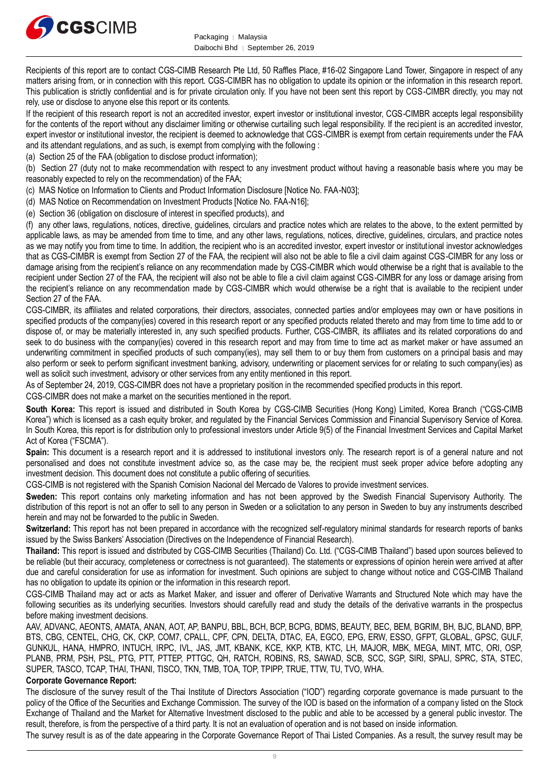

Recipients of this report are to contact CGS-CIMB Research Pte Ltd, 50 Raffles Place, #16-02 Singapore Land Tower, Singapore in respect of any matters arising from, or in connection with this report. CGS-CIMBR has no obligation to update its opinion or the information in this research report. This publication is strictly confidential and is for private circulation only. If you have not been sent this report by CGS-CIMBR directly, you may not rely, use or disclose to anyone else this report or its contents.

If the recipient of this research report is not an accredited investor, expert investor or institutional investor, CGS-CIMBR accepts legal responsibility for the contents of the report without any disclaimer limiting or otherwise curtailing such legal responsibility. If the recipient is an accredited investor, expert investor or institutional investor, the recipient is deemed to acknowledge that CGS-CIMBR is exempt from certain requirements under the FAA and its attendant regulations, and as such, is exempt from complying with the following :

(a) Section 25 of the FAA (obligation to disclose product information);

(b) Section 27 (duty not to make recommendation with respect to any investment product without having a reasonable basis where you may be reasonably expected to rely on the recommendation) of the FAA;

(c) MAS Notice on Information to Clients and Product Information Disclosure [Notice No. FAA-N03];

(d) MAS Notice on Recommendation on Investment Products [Notice No. FAA-N16];

(e) Section 36 (obligation on disclosure of interest in specified products), and

(f) any other laws, regulations, notices, directive, guidelines, circulars and practice notes which are relates to the above, to the extent permitted by applicable laws, as may be amended from time to time, and any other laws, regulations, notices, directive, guidelines, circulars, and practice notes as we may notify you from time to time. In addition, the recipient who is an accredited investor, expert investor or institutional investor acknowledges that as CGS-CIMBR is exempt from Section 27 of the FAA, the recipient will also not be able to file a civil claim against CGS-CIMBR for any loss or damage arising from the recipient's reliance on any recommendation made by CGS-CIMBR which would otherwise be a right that is available to the recipient under Section 27 of the FAA, the recipient will also not be able to file a civil claim against CGS-CIMBR for any loss or damage arising from the recipient's reliance on any recommendation made by CGS-CIMBR which would otherwise be a right that is available to the recipient under Section 27 of the FAA.

CGS-CIMBR, its affiliates and related corporations, their directors, associates, connected parties and/or employees may own or have positions in specified products of the company(ies) covered in this research report or any specified products related thereto and may from time to time add to or dispose of, or may be materially interested in, any such specified products. Further, CGS-CIMBR, its affiliates and its related corporations do and seek to do business with the company(ies) covered in this research report and may from time to time act as market maker or have assumed an underwriting commitment in specified products of such company(ies), may sell them to or buy them from customers on a principal basis and may also perform or seek to perform significant investment banking, advisory, underwriting or placement services for or relating to such company(ies) as well as solicit such investment, advisory or other services from any entity mentioned in this report.

As of September 24, 2019, CGS-CIMBR does not have a proprietary position in the recommended specified products in this report.

CGS-CIMBR does not make a market on the securities mentioned in the report.

**South Korea:** This report is issued and distributed in South Korea by CGS-CIMB Securities (Hong Kong) Limited, Korea Branch ("CGS-CIMB Korea") which is licensed as a cash equity broker, and regulated by the Financial Services Commission and Financial Supervisory Service of Korea. In South Korea, this report is for distribution only to professional investors under Article 9(5) of the Financial Investment Services and Capital Market Act of Korea ("FSCMA").

**Spain:** This document is a research report and it is addressed to institutional investors only. The research report is of a general nature and not personalised and does not constitute investment advice so, as the case may be, the recipient must seek proper advice before adopting any investment decision. This document does not constitute a public offering of securities.

CGS-CIMB is not registered with the Spanish Comision Nacional del Mercado de Valores to provide investment services.

**Sweden:** This report contains only marketing information and has not been approved by the Swedish Financial Supervisory Authority. The distribution of this report is not an offer to sell to any person in Sweden or a solicitation to any person in Sweden to buy any instruments described herein and may not be forwarded to the public in Sweden.

**Switzerland:** This report has not been prepared in accordance with the recognized self-regulatory minimal standards for research reports of banks issued by the Swiss Bankers' Association (Directives on the Independence of Financial Research).

**Thailand:** This report is issued and distributed by CGS-CIMB Securities (Thailand) Co. Ltd. ("CGS-CIMB Thailand") based upon sources believed to be reliable (but their accuracy, completeness or correctness is not guaranteed). The statements or expressions of opinion herein were arrived at after due and careful consideration for use as information for investment. Such opinions are subject to change without notice and CGS-CIMB Thailand has no obligation to update its opinion or the information in this research report.

CGS-CIMB Thailand may act or acts as Market Maker, and issuer and offerer of Derivative Warrants and Structured Note which may have the following securities as its underlying securities. Investors should carefully read and study the details of the derivative warrants in the prospectus before making investment decisions.

AAV, ADVANC, AEONTS, AMATA, ANAN, AOT, AP, BANPU, BBL, BCH, BCP, BCPG, BDMS, BEAUTY, BEC, BEM, BGRIM, BH, BJC, BLAND, BPP, BTS, CBG, CENTEL, CHG, CK, CKP, COM7, CPALL, CPF, CPN, DELTA, DTAC, EA, EGCO, EPG, ERW, ESSO, GFPT, GLOBAL, GPSC, GULF, GUNKUL, HANA, HMPRO, INTUCH, IRPC, IVL, JAS, JMT, KBANK, KCE, KKP, KTB, KTC, LH, MAJOR, MBK, MEGA, MINT, MTC, ORI, OSP, PLANB, PRM, PSH, PSL, PTG, PTT, PTTEP, PTTGC, QH, RATCH, ROBINS, RS, SAWAD, SCB, SCC, SGP, SIRI, SPALI, SPRC, STA, STEC, SUPER, TASCO, TCAP, THAI, THANI, TISCO, TKN, TMB, TOA, TOP, TPIPP, TRUE, TTW, TU, TVO, WHA.

#### **Corporate Governance Report:**

The disclosure of the survey result of the Thai Institute of Directors Association ("IOD") regarding corporate governance is made pursuant to the policy of the Office of the Securities and Exchange Commission. The survey of the IOD is based on the information of a company listed on the Stock Exchange of Thailand and the Market for Alternative Investment disclosed to the public and able to be accessed by a general public investor. The result, therefore, is from the perspective of a third party. It is not an evaluation of operation and is not based on inside information.

The survey result is as of the date appearing in the Corporate Governance Report of Thai Listed Companies. As a result, the survey result may be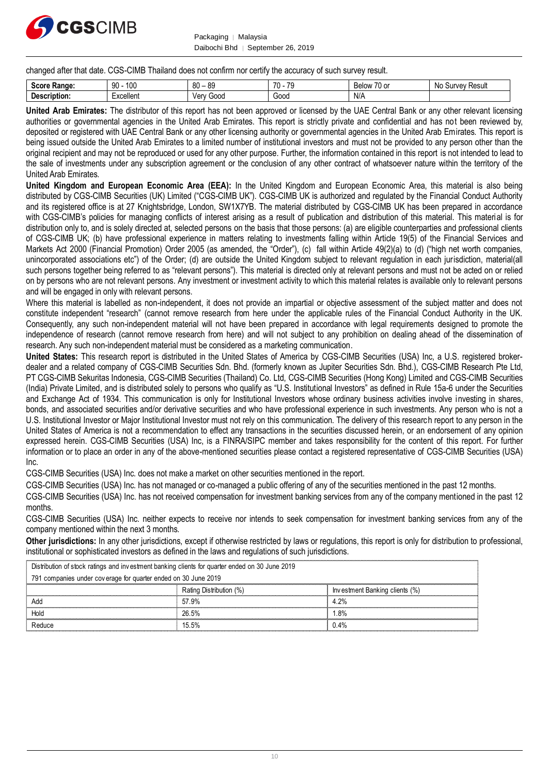

Packaging | Malaysia Daibochi Bhd │ September 26, 2019

changed after that date. CGS-CIMB Thailand does not confirm nor certify the accuracy of such survey result.

| P<br><b>Range:</b><br><b>JLUI!</b><br>. | 100<br>$\Omega$<br>ັບ | R <sub>0</sub><br><b>RQ</b><br>vv<br>ັບເ | 70<br>70<br>,,,<br>ں ا | 71<br>◡<br><b>Below</b><br>1 U U | Νo<br>: Result<br>'1111101<br>υu<br>, c |
|-----------------------------------------|-----------------------|------------------------------------------|------------------------|----------------------------------|-----------------------------------------|
| <b>Description:</b>                     | -xcellent             | Gooc<br>٬۱۵۳۰<br>וסו                     | Good                   | N/L                              |                                         |

**United Arab Emirates:** The distributor of this report has not been approved or licensed by the UAE Central Bank or any other relevant licensing authorities or governmental agencies in the United Arab Emirates. This report is strictly private and confidential and has not been reviewed by, deposited or registered with UAE Central Bank or any other licensing authority or governmental agencies in the United Arab Emirates. This report is being issued outside the United Arab Emirates to a limited number of institutional investors and must not be provided to any person other than the original recipient and may not be reproduced or used for any other purpose. Further, the information contained in this report is not intended to lead to the sale of investments under any subscription agreement or the conclusion of any other contract of whatsoever nature within the territory of the United Arab Emirates.

**United Kingdom and European Economic Area (EEA):** In the United Kingdom and European Economic Area, this material is also being distributed by CGS-CIMB Securities (UK) Limited ("CGS-CIMB UK"). CGS-CIMB UK is authorized and regulated by the Financial Conduct Authority and its registered office is at 27 Knightsbridge, London, SW1X7YB. The material distributed by CGS-CIMB UK has been prepared in accordance with CGS-CIMB's policies for managing conflicts of interest arising as a result of publication and distribution of this material. This material is for distribution only to, and is solely directed at, selected persons on the basis that those persons: (a) are eligible counterparties and professional clients of CGS-CIMB UK; (b) have professional experience in matters relating to investments falling within Article 19(5) of the Financial Services and Markets Act 2000 (Financial Promotion) Order 2005 (as amended, the "Order"), (c) fall within Article 49(2)(a) to (d) ("high net worth companies, unincorporated associations etc") of the Order; (d) are outside the United Kingdom subject to relevant regulation in each jurisdiction, material(all such persons together being referred to as "relevant persons"). This material is directed only at relevant persons and must not be acted on or relied on by persons who are not relevant persons. Any investment or investment activity to which this material relates is available only to relevant persons and will be engaged in only with relevant persons.

Where this material is labelled as non-independent, it does not provide an impartial or objective assessment of the subject matter and does not constitute independent "research" (cannot remove research from here under the applicable rules of the Financial Conduct Authority in the UK. Consequently, any such non-independent material will not have been prepared in accordance with legal requirements designed to promote the independence of research (cannot remove research from here) and will not subject to any prohibition on dealing ahead of the dissemination of research. Any such non-independent material must be considered as a marketing communication.

**United States:** This research report is distributed in the United States of America by CGS-CIMB Securities (USA) Inc, a U.S. registered brokerdealer and a related company of CGS-CIMB Securities Sdn. Bhd. (formerly known as Jupiter Securities Sdn. Bhd.), CGS-CIMB Research Pte Ltd, PT CGS-CIMB Sekuritas Indonesia, CGS-CIMB Securities (Thailand) Co. Ltd, CGS-CIMB Securities (Hong Kong) Limited and CGS-CIMB Securities (India) Private Limited, and is distributed solely to persons who qualify as "U.S. Institutional Investors" as defined in Rule 15a-6 under the Securities and Exchange Act of 1934. This communication is only for Institutional Investors whose ordinary business activities involve investing in shares, bonds, and associated securities and/or derivative securities and who have professional experience in such investments. Any person who is not a U.S. Institutional Investor or Major Institutional Investor must not rely on this communication. The delivery of this research report to any person in the United States of America is not a recommendation to effect any transactions in the securities discussed herein, or an endorsement of any opinion expressed herein. CGS-CIMB Securities (USA) Inc, is a FINRA/SIPC member and takes responsibility for the content of this report. For further information or to place an order in any of the above-mentioned securities please contact a registered representative of CGS-CIMB Securities (USA) Inc.

CGS-CIMB Securities (USA) Inc. does not make a market on other securities mentioned in the report.

CGS-CIMB Securities (USA) Inc. has not managed or co-managed a public offering of any of the securities mentioned in the past 12 months.

CGS-CIMB Securities (USA) Inc. has not received compensation for investment banking services from any of the company mentioned in the past 12 months.

CGS-CIMB Securities (USA) Inc. neither expects to receive nor intends to seek compensation for investment banking services from any of the company mentioned within the next 3 months.

**Other jurisdictions:** In any other jurisdictions, except if otherwise restricted by laws or regulations, this report is only for distribution to professional, institutional or sophisticated investors as defined in the laws and regulations of such jurisdictions.

| company mentioned within the next 3 months.                                                                                                                                                                                                               |                                                                                                |                                |  |  |  |  |
|-----------------------------------------------------------------------------------------------------------------------------------------------------------------------------------------------------------------------------------------------------------|------------------------------------------------------------------------------------------------|--------------------------------|--|--|--|--|
| Other jurisdictions: In any other jurisdictions, except if otherwise restricted by laws or regulations, this report is only for distribution to<br>institutional or sophisticated investors as defined in the laws and regulations of such jurisdictions. |                                                                                                |                                |  |  |  |  |
|                                                                                                                                                                                                                                                           | Distribution of stock ratings and investment banking clients for quarter ended on 30 June 2019 |                                |  |  |  |  |
| 791 companies under coverage for quarter ended on 30 June 2019                                                                                                                                                                                            |                                                                                                |                                |  |  |  |  |
|                                                                                                                                                                                                                                                           | Rating Distribution (%)                                                                        | Investment Banking clients (%) |  |  |  |  |
| Add                                                                                                                                                                                                                                                       | 57.9%                                                                                          | 4.2%                           |  |  |  |  |
| Hold                                                                                                                                                                                                                                                      | 26.5%                                                                                          | 1.8%                           |  |  |  |  |
| Reduce                                                                                                                                                                                                                                                    | 15.5%                                                                                          | 0.4%                           |  |  |  |  |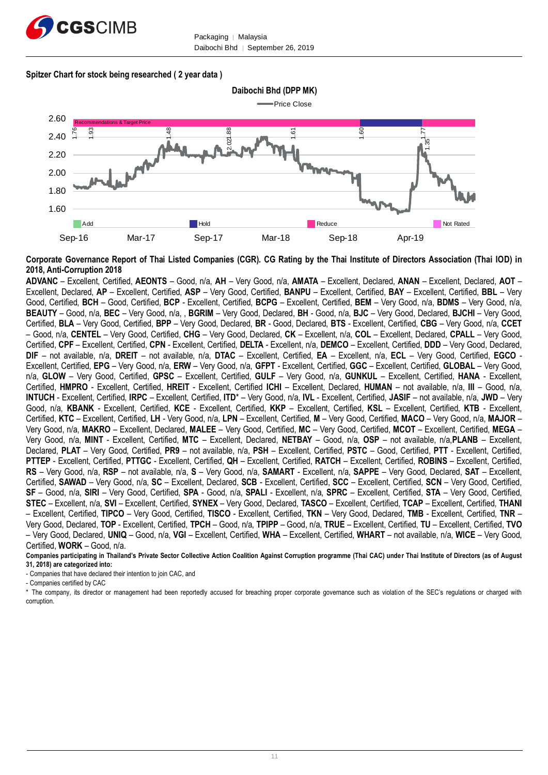

#### **Spitzer Chart for stock being researched ( 2 year data )**



**Corporate Governance Report of Thai Listed Companies (CGR). CG Rating by the Thai Institute of Directors Association (Thai IOD) in 2018, Anti-Corruption 2018**

**ADVANC** – Excellent, Certified, **AEONTS** – Good, n/a, **AH** – Very Good, n/a, **AMATA** – Excellent, Declared, **ANAN** – Excellent, Declared, **AOT** – Excellent, Declared, **AP** – Excellent, Certified, **ASP** – Very Good, Certified, **BANPU** – Excellent, Certified, **BAY** – Excellent, Certified, **BBL** – Very Good, Certified, **BCH** – Good, Certified, **BCP** - Excellent, Certified, **BCPG** – Excellent, Certified, **BEM** – Very Good, n/a, **BDMS** – Very Good, n/a, **BEAUTY** – Good, n/a, **BEC** – Very Good, n/a, , **BGRIM** – Very Good, Declared, **BH** - Good, n/a, **BJC** – Very Good, Declared, **BJCHI** – Very Good, Certified, **BLA** – Very Good, Certified, **BPP** – Very Good, Declared, **BR** - Good, Declared, **BTS** - Excellent, Certified, **CBG** – Very Good, n/a, **CCET** – Good, n/a, **CENTEL** – Very Good, Certified, **CHG** – Very Good, Declared, **CK** – Excellent, n/a, **COL** – Excellent, Declared, **CPALL** – Very Good, Certified, **CPF** – Excellent, Certified, **CPN** - Excellent, Certified, **DELTA** - Excellent, n/a, **DEMCO** – Excellent, Certified, **DDD** – Very Good, Declared, **DIF** – not available, n/a, **DREIT** – not available, n/a, **DTAC** – Excellent, Certified, **EA** – Excellent, n/a, **ECL** – Very Good, Certified, **EGCO** - Excellent, Certified, **EPG** – Very Good, n/a, **ERW** – Very Good, n/a, **GFPT** - Excellent, Certified, **GGC** – Excellent, Certified, **GLOBAL** – Very Good, n/a, **GLOW** – Very Good, Certified, **GPSC** – Excellent, Certified, **GULF** – Very Good, n/a, **GUNKUL** – Excellent, Certified, **HANA** - Excellent, Certified, **HMPRO** - Excellent, Certified, **HREIT** - Excellent, Certified **ICHI** – Excellent, Declared, **HUMAN** – not available, n/a, **III** – Good, n/a, **INTUCH** - Excellent, Certified, **IRPC** – Excellent, Certified, **ITD**\* – Very Good, n/a, **IVL** - Excellent, Certified, **JASIF** – not available, n/a, **JWD** – Very Good, n/a, **KBANK** - Excellent, Certified, **KCE** - Excellent, Certified, **KKP** – Excellent, Certified, **KSL** – Excellent, Certified, **KTB** - Excellent, Certified, **KTC** – Excellent, Certified, **LH** - Very Good, n/a, **LPN** – Excellent, Certified, **M** – Very Good, Certified, **MACO** – Very Good, n/a, **MAJOR** – Very Good, n/a, **MAKRO** – Excellent, Declared, **MALEE** – Very Good, Certified, **MC** – Very Good, Certified, **MCOT** – Excellent, Certified, **MEGA** – Very Good, n/a, **MINT** - Excellent, Certified, **MTC** – Excellent, Declared, **NETBAY** – Good, n/a, **OSP** – not available, n/a,**PLANB** – Excellent, Declared, **PLAT** – Very Good, Certified, **PR9** – not available, n/a, **PSH** – Excellent, Certified, **PSTC** – Good, Certified, **PTT** - Excellent, Certified, **PTTEP** - Excellent, Certified, **PTTGC** - Excellent, Certified, **QH** – Excellent, Certified, **RATCH** – Excellent, Certified, **ROBINS** – Excellent, Certified, **RS** – Very Good, n/a, **RSP** – not available, n/a, **S** – Very Good, n/a, **SAMART** - Excellent, n/a, **SAPPE** – Very Good, Declared, **SAT** – Excellent, Certified, **SAWAD** – Very Good, n/a, **SC** – Excellent, Declared, **SCB** - Excellent, Certified, **SCC** – Excellent, Certified, **SCN** – Very Good, Certified, **SF** – Good, n/a, **SIRI** – Very Good, Certified, **SPA** - Good, n/a, **SPALI** - Excellent, n/a, **SPRC** – Excellent, Certified, **STA** – Very Good, Certified, **STEC** – Excellent, n/a, **SVI** – Excellent, Certified, **SYNEX** – Very Good, Declared, **TASCO** – Excellent, Certified, **TCAP** – Excellent, Certified, **THANI** – Excellent, Certified, **TIPCO** – Very Good, Certified, **TISCO** - Excellent, Certified, **TKN** – Very Good, Declared, **TMB** - Excellent, Certified, **TNR** – Very Good, Declared, **TOP** - Excellent, Certified, **TPCH** – Good, n/a, **TPIPP** – Good, n/a, **TRUE** – Excellent, Certified, **TU** – Excellent, Certified, **TVO** – Very Good, Declared, **UNIQ** – Good, n/a, **VGI** – Excellent, Certified, **WHA** – Excellent, Certified, **WHART** – not available, n/a, **WICE** – Very Good, Certified, **WORK** – Good, n/a.

**Companies participating in Thailand's Private Sector Collective Action Coalition Against Corruption programme (Thai CAC) under Thai Institute of Directors (as of August 31, 2018) are categorized into:**

- Companies that have declared their intention to join CAC, and

- Companies certified by CAC

\* The company, its director or management had been reportedly accused for breaching proper corporate governance such as violation of the SEC's regulations or charged with corruption.